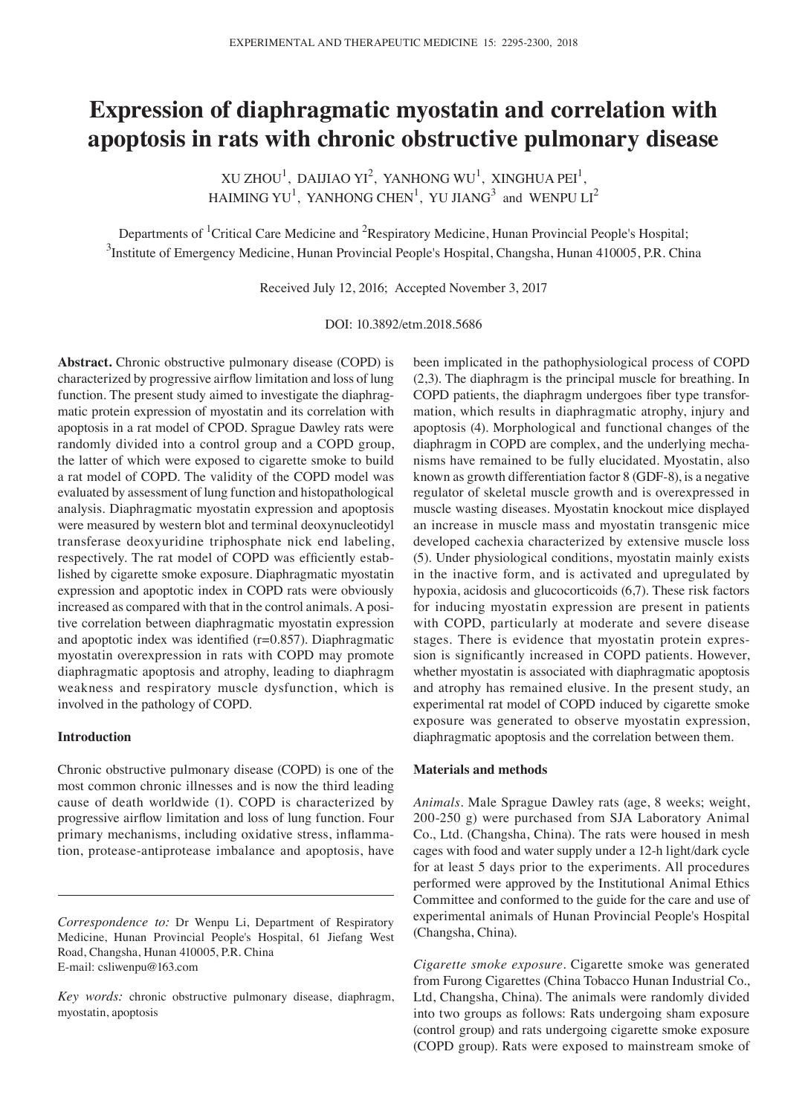# **Expression of diaphragmatic myostatin and correlation with apoptosis in rats with chronic obstructive pulmonary disease**

XU ZHOU<sup>1</sup>, DAIJIAO YI<sup>2</sup>, YANHONG WU<sup>1</sup>, XINGHUA PEI<sup>1</sup>, HAIMING YU<sup>1</sup>, YANHONG CHEN<sup>1</sup>, YU JIANG<sup>3</sup> and WENPU LI<sup>2</sup>

Departments of <sup>1</sup>Critical Care Medicine and <sup>2</sup>Respiratory Medicine, Hunan Provincial People's Hospital; <sup>3</sup>Institute of Emergency Medicine, Hunan Provincial People's Hospital, Changsha, Hunan 410005, P.R. China

Received July 12, 2016; Accepted November 3, 2017

DOI: 10.3892/etm.2018.5686

**Abstract.** Chronic obstructive pulmonary disease (COPD) is characterized by progressive airflow limitation and loss of lung function. The present study aimed to investigate the diaphragmatic protein expression of myostatin and its correlation with apoptosis in a rat model of CPOD. Sprague Dawley rats were randomly divided into a control group and a COPD group, the latter of which were exposed to cigarette smoke to build a rat model of COPD. The validity of the COPD model was evaluated by assessment of lung function and histopathological analysis. Diaphragmatic myostatin expression and apoptosis were measured by western blot and terminal deoxynucleotidyl transferase deoxyuridine triphosphate nick end labeling, respectively. The rat model of COPD was efficiently established by cigarette smoke exposure. Diaphragmatic myostatin expression and apoptotic index in COPD rats were obviously increased as compared with that in the control animals. A positive correlation between diaphragmatic myostatin expression and apoptotic index was identified  $(r=0.857)$ . Diaphragmatic myostatin overexpression in rats with COPD may promote diaphragmatic apoptosis and atrophy, leading to diaphragm weakness and respiratory muscle dysfunction, which is involved in the pathology of COPD.

## **Introduction**

Chronic obstructive pulmonary disease (COPD) is one of the most common chronic illnesses and is now the third leading cause of death worldwide (1). COPD is characterized by progressive airflow limitation and loss of lung function. Four primary mechanisms, including oxidative stress, inflammation, protease-antiprotease imbalance and apoptosis, have been implicated in the pathophysiological process of COPD (2,3). The diaphragm is the principal muscle for breathing. In COPD patients, the diaphragm undergoes fiber type transformation, which results in diaphragmatic atrophy, injury and apoptosis (4). Morphological and functional changes of the diaphragm in COPD are complex, and the underlying mechanisms have remained to be fully elucidated. Myostatin, also known as growth differentiation factor 8 (GDF‑8), is a negative regulator of skeletal muscle growth and is overexpressed in muscle wasting diseases. Myostatin knockout mice displayed an increase in muscle mass and myostatin transgenic mice developed cachexia characterized by extensive muscle loss (5). Under physiological conditions, myostatin mainly exists in the inactive form, and is activated and upregulated by hypoxia, acidosis and glucocorticoids (6,7). These risk factors for inducing myostatin expression are present in patients with COPD, particularly at moderate and severe disease stages. There is evidence that myostatin protein expression is significantly increased in COPD patients. However, whether myostatin is associated with diaphragmatic apoptosis and atrophy has remained elusive. In the present study, an experimental rat model of COPD induced by cigarette smoke exposure was generated to observe myostatin expression, diaphragmatic apoptosis and the correlation between them.

## **Materials and methods**

*Animals.* Male Sprague Dawley rats (age, 8 weeks; weight, 200‑250 g) were purchased from SJA Laboratory Animal Co., Ltd. (Changsha, China). The rats were housed in mesh cages with food and water supply under a 12‑h light/dark cycle for at least 5 days prior to the experiments. All procedures performed were approved by the Institutional Animal Ethics Committee and conformed to the guide for the care and use of experimental animals of Hunan Provincial People's Hospital (Changsha, China).

*Cigarette smoke exposure.* Cigarette smoke was generated from Furong Cigarettes (China Tobacco Hunan Industrial Co., Ltd, Changsha, China). The animals were randomly divided into two groups as follows: Rats undergoing sham exposure (control group) and rats undergoing cigarette smoke exposure (COPD group). Rats were exposed to mainstream smoke of

*Correspondence to:* Dr Wenpu Li, Department of Respiratory Medicine, Hunan Provincial People's Hospital, 61 Jiefang West Road, Changsha, Hunan 410005, P.R. China E‑mail: csliwenpu@163.com

*Key words:* chronic obstructive pulmonary disease, diaphragm, myostatin, apoptosis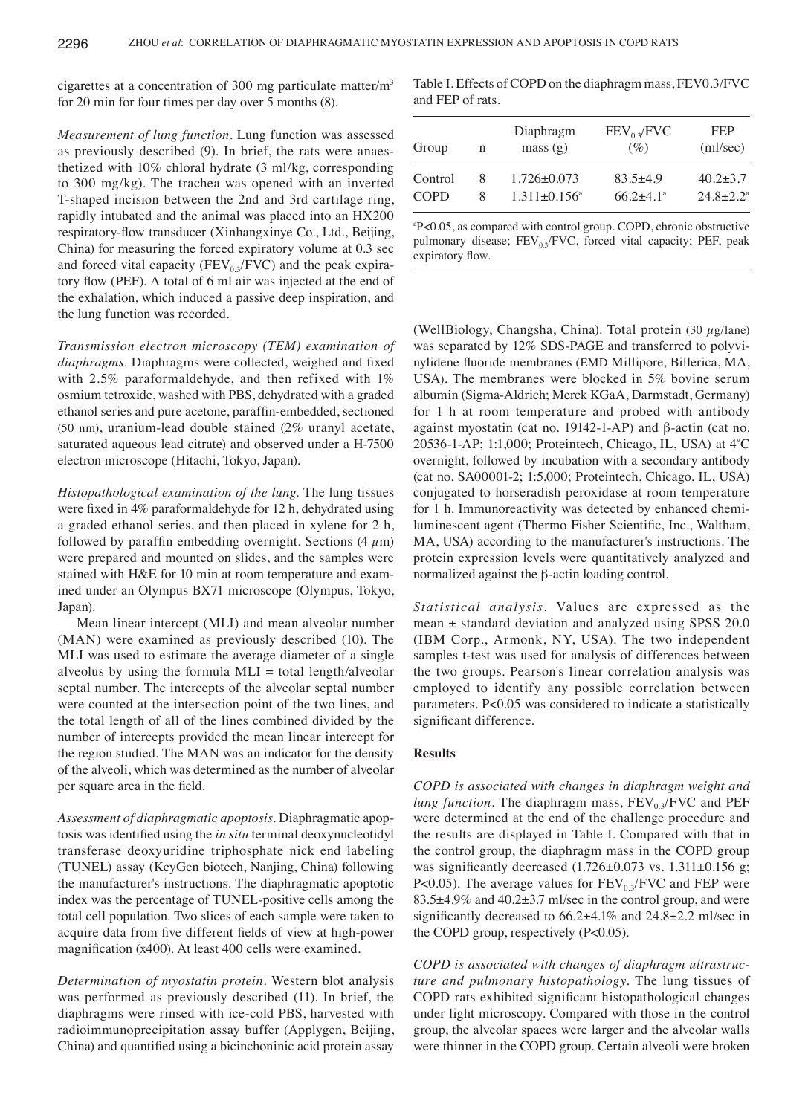cigarettes at a concentration of 300 mg particulate matter/m<sup>3</sup> for 20 min for four times per day over 5 months (8).

*Measurement of lung function.* Lung function was assessed as previously described (9). In brief, the rats were anaesthetized with 10% chloral hydrate (3 ml/kg, corresponding to 300 mg/kg). The trachea was opened with an inverted T‑shaped incision between the 2nd and 3rd cartilage ring, rapidly intubated and the animal was placed into an HX200 respiratory‑flow transducer (Xinhangxinye Co., Ltd., Beijing, China) for measuring the forced expiratory volume at 0.3 sec and forced vital capacity ( $FEV_{0,3}/FVC$ ) and the peak expiratory flow (PEF). A total of 6 ml air was injected at the end of the exhalation, which induced a passive deep inspiration, and the lung function was recorded.

*Transmission electron microscopy (TEM) examination of diaphragms.* Diaphragms were collected, weighed and fixed with 2.5% paraformaldehyde, and then refixed with 1% osmium tetroxide, washed with PBS, dehydrated with a graded ethanol series and pure acetone, paraffin‑embedded, sectioned (50 nm), uranium‑lead double stained (2% uranyl acetate, saturated aqueous lead citrate) and observed under a H-7500 electron microscope (Hitachi, Tokyo, Japan).

*Histopathological examination of the lung.* The lung tissues were fixed in 4% paraformaldehyde for 12 h, dehydrated using a graded ethanol series, and then placed in xylene for 2 h, followed by paraffin embedding overnight. Sections  $(4 \mu m)$ were prepared and mounted on slides, and the samples were stained with H&E for 10 min at room temperature and examined under an Olympus BX71 microscope (Olympus, Tokyo, Japan).

Mean linear intercept (MLI) and mean alveolar number (MAN) were examined as previously described (10). The MLI was used to estimate the average diameter of a single alveolus by using the formula  $MLI = total length/alveolar$ septal number. The intercepts of the alveolar septal number were counted at the intersection point of the two lines, and the total length of all of the lines combined divided by the number of intercepts provided the mean linear intercept for the region studied. The MAN was an indicator for the density of the alveoli, which was determined as the number of alveolar per square area in the field.

*Assessment of diaphragmatic apoptosis.* Diaphragmatic apoptosis was identified using the *in situ* terminal deoxynucleotidyl transferase deoxyuridine triphosphate nick end labeling (TUNEL) assay (KeyGen biotech, Nanjing, China) following the manufacturer's instructions. The diaphragmatic apoptotic index was the percentage of TUNEL‑positive cells among the total cell population. Two slices of each sample were taken to acquire data from five different fields of view at high-power magnification (x400). At least 400 cells were examined.

*Determination of myostatin protein.* Western blot analysis was performed as previously described (11). In brief, the diaphragms were rinsed with ice‑cold PBS, harvested with radioimmunoprecipitation assay buffer (Applygen, Beijing, China) and quantified using a bicinchoninic acid protein assay

Table I. Effects of COPD on the diaphragm mass, FEV0.3/FVC and FEP of rats.

| Group       | n | Diaphragm<br>mass(g)           | $FEV_0$ <sub>2</sub> /FVC<br>(%) | <b>FEP</b><br>(ml/sec) |
|-------------|---|--------------------------------|----------------------------------|------------------------|
| Control     | x | $1.726 \pm 0.073$              | $83.5 + 4.9$                     | $40.2 + 3.7$           |
| <b>COPD</b> | x | $1.311 \pm 0.156$ <sup>a</sup> | $66.2 + 4.1^{\circ}$             | $24.8 + 2.2^a$         |

a P<0.05, as compared with control group. COPD, chronic obstructive pulmonary disease;  $FEV_{0.3}$ /FVC, forced vital capacity; PEF, peak expiratory flow.

(WellBiology, Changsha, China). Total protein (30  $\mu$ g/lane) was separated by 12% SDS-PAGE and transferred to polyvinylidene fluoride membranes (EMD Millipore, Billerica, MA, USA). The membranes were blocked in 5% bovine serum albumin (Sigma‑Aldrich; Merck KGaA, Darmstadt, Germany) for 1 h at room temperature and probed with antibody against myostatin (cat no. 19142‑1‑AP) and β‑actin (cat no. 20536‑1‑AP; 1:1,000; Proteintech, Chicago, IL, USA) at 4˚C overnight, followed by incubation with a secondary antibody (cat no. SA00001‑2; 1:5,000; Proteintech, Chicago, IL, USA) conjugated to horseradish peroxidase at room temperature for 1 h. Immunoreactivity was detected by enhanced chemiluminescent agent (Thermo Fisher Scientific, Inc., Waltham, MA, USA) according to the manufacturer's instructions. The protein expression levels were quantitatively analyzed and normalized against the β‑actin loading control.

*Statistical analysis.* Values are expressed as the mean  $\pm$  standard deviation and analyzed using SPSS 20.0 (IBM Corp., Armonk, NY, USA). The two independent samples t-test was used for analysis of differences between the two groups. Pearson's linear correlation analysis was employed to identify any possible correlation between parameters. P<0.05 was considered to indicate a statistically significant difference.

### **Results**

*COPD is associated with changes in diaphragm weight and lung function*. The diaphragm mass,  $FEV_{0.3}/FVC$  and  $PEF$ were determined at the end of the challenge procedure and the results are displayed in Table I. Compared with that in the control group, the diaphragm mass in the COPD group was significantly decreased  $(1.726 \pm 0.073 \text{ vs. } 1.311 \pm 0.156 \text{ g};$ P<0.05). The average values for  $FEV_{0.3}/FVC$  and FEP were 83.5±4.9% and 40.2±3.7 ml/sec in the control group, and were significantly decreased to 66.2±4.1% and 24.8±2.2 ml/sec in the COPD group, respectively (P<0.05).

*COPD is associated with changes of diaphragm ultrastructure and pulmonary histopathology.* The lung tissues of COPD rats exhibited significant histopathological changes under light microscopy. Compared with those in the control group, the alveolar spaces were larger and the alveolar walls were thinner in the COPD group. Certain alveoli were broken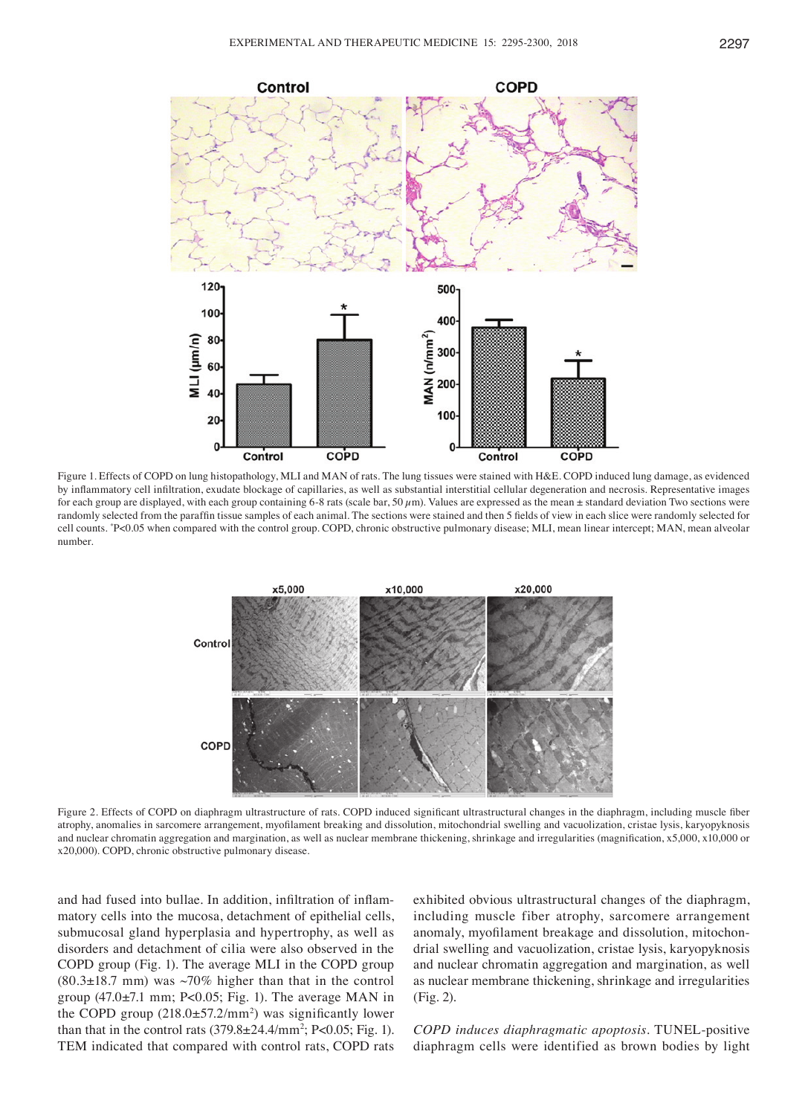

Figure 1. Effects of COPD on lung histopathology, MLI and MAN of rats. The lung tissues were stained with H&E. COPD induced lung damage, as evidenced by inflammatory cell infiltration, exudate blockage of capillaries, as well as substantial interstitial cellular degeneration and necrosis. Representative images for each group are displayed, with each group containing 6–8 rats (scale bar, 50  $\mu$ m). Values are expressed as the mean  $\pm$  standard deviation Two sections were randomly selected from the paraffin tissue samples of each animal. The sections were stained and then 5 fields of view in each slice were randomly selected for cell counts. \* P<0.05 when compared with the control group. COPD, chronic obstructive pulmonary disease; MLI, mean linear intercept; MAN, mean alveolar number.



Figure 2. Effects of COPD on diaphragm ultrastructure of rats. COPD induced significant ultrastructural changes in the diaphragm, including muscle fiber atrophy, anomalies in sarcomere arrangement, myofilament breaking and dissolution, mitochondrial swelling and vacuolization, cristae lysis, karyopyknosis and nuclear chromatin aggregation and margination, as well as nuclear membrane thickening, shrinkage and irregularities (magnification, x5,000, x10,000 or x20,000). COPD, chronic obstructive pulmonary disease.

and had fused into bullae. In addition, infiltration of inflammatory cells into the mucosa, detachment of epithelial cells, submucosal gland hyperplasia and hypertrophy, as well as disorders and detachment of cilia were also observed in the COPD group (Fig. 1). The average MLI in the COPD group  $(80.3\pm18.7 \text{ mm})$  was  $\sim70\%$  higher than that in the control group  $(47.0\pm7.1 \text{ mm}; P<0.05; Fig. 1)$ . The average MAN in the COPD group  $(218.0 \pm 57.2/\text{mm}^2)$  was significantly lower than that in the control rats  $(379.8 \pm 24.4/\text{mm}^2; P<0.05; Fig. 1)$ . TEM indicated that compared with control rats, COPD rats

exhibited obvious ultrastructural changes of the diaphragm, including muscle fiber atrophy, sarcomere arrangement anomaly, myofilament breakage and dissolution, mitochondrial swelling and vacuolization, cristae lysis, karyopyknosis and nuclear chromatin aggregation and margination, as well as nuclear membrane thickening, shrinkage and irregularities (Fig. 2).

*COPD induces diaphragmatic apoptosis.* TUNEL-positive diaphragm cells were identified as brown bodies by light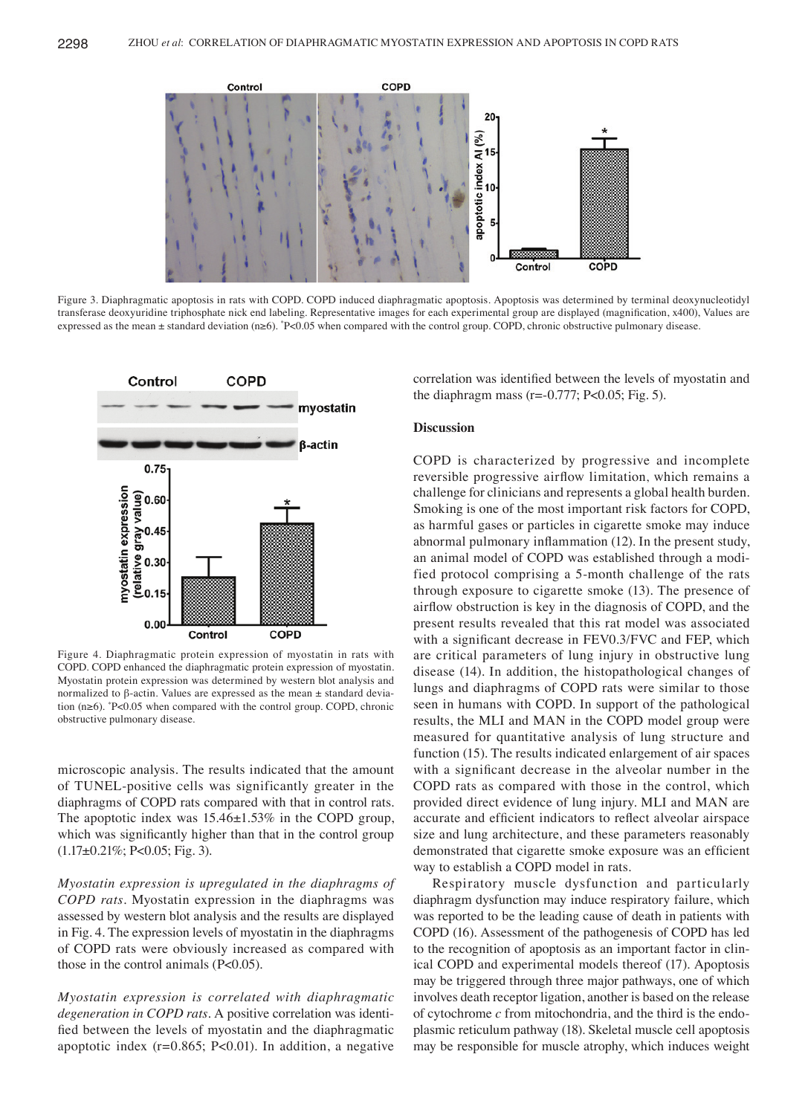

Figure 3. Diaphragmatic apoptosis in rats with COPD. COPD induced diaphragmatic apoptosis. Apoptosis was determined by terminal deoxynucleotidyl transferase deoxyuridine triphosphate nick end labeling. Representative images for each experimental group are displayed (magnification, x400), Values are expressed as the mean ± standard deviation (n≥6). \* P<0.05 when compared with the control group. COPD, chronic obstructive pulmonary disease.



Figure 4. Diaphragmatic protein expression of myostatin in rats with COPD. COPD enhanced the diaphragmatic protein expression of myostatin. Myostatin protein expression was determined by western blot analysis and normalized to β‑actin. Values are expressed as the mean ± standard deviation (n≥6). \* P<0.05 when compared with the control group. COPD, chronic obstructive pulmonary disease.

microscopic analysis. The results indicated that the amount of TUNEL‑positive cells was significantly greater in the diaphragms of COPD rats compared with that in control rats. The apoptotic index was  $15.46 \pm 1.53\%$  in the COPD group, which was significantly higher than that in the control group  $(1.17\pm0.21\%; P<0.05; Fig. 3).$ 

*Myostatin expression is upregulated in the diaphragms of COPD rats.* Myostatin expression in the diaphragms was assessed by western blot analysis and the results are displayed in Fig. 4. The expression levels of myostatin in the diaphragms of COPD rats were obviously increased as compared with those in the control animals (P<0.05).

*Myostatin expression is correlated with diaphragmatic degeneration in COPD rats.* A positive correlation was identified between the levels of myostatin and the diaphragmatic apoptotic index  $(r=0.865; P<0.01)$ . In addition, a negative correlation was identified between the levels of myostatin and the diaphragm mass ( $r = -0.777$ ; P<0.05; Fig. 5).

## **Discussion**

COPD is characterized by progressive and incomplete reversible progressive airflow limitation, which remains a challenge for clinicians and represents a global health burden. Smoking is one of the most important risk factors for COPD, as harmful gases or particles in cigarette smoke may induce abnormal pulmonary inflammation (12). In the present study, an animal model of COPD was established through a modified protocol comprising a 5‑month challenge of the rats through exposure to cigarette smoke (13). The presence of airflow obstruction is key in the diagnosis of COPD, and the present results revealed that this rat model was associated with a significant decrease in FEV0.3/FVC and FEP, which are critical parameters of lung injury in obstructive lung disease (14). In addition, the histopathological changes of lungs and diaphragms of COPD rats were similar to those seen in humans with COPD. In support of the pathological results, the MLI and MAN in the COPD model group were measured for quantitative analysis of lung structure and function (15). The results indicated enlargement of air spaces with a significant decrease in the alveolar number in the COPD rats as compared with those in the control, which provided direct evidence of lung injury. MLI and MAN are accurate and efficient indicators to reflect alveolar airspace size and lung architecture, and these parameters reasonably demonstrated that cigarette smoke exposure was an efficient way to establish a COPD model in rats.

Respiratory muscle dysfunction and particularly diaphragm dysfunction may induce respiratory failure, which was reported to be the leading cause of death in patients with COPD (16). Assessment of the pathogenesis of COPD has led to the recognition of apoptosis as an important factor in clinical COPD and experimental models thereof (17). Apoptosis may be triggered through three major pathways, one of which involves death receptor ligation, another is based on the release of cytochrome *c* from mitochondria, and the third is the endoplasmic reticulum pathway (18). Skeletal muscle cell apoptosis may be responsible for muscle atrophy, which induces weight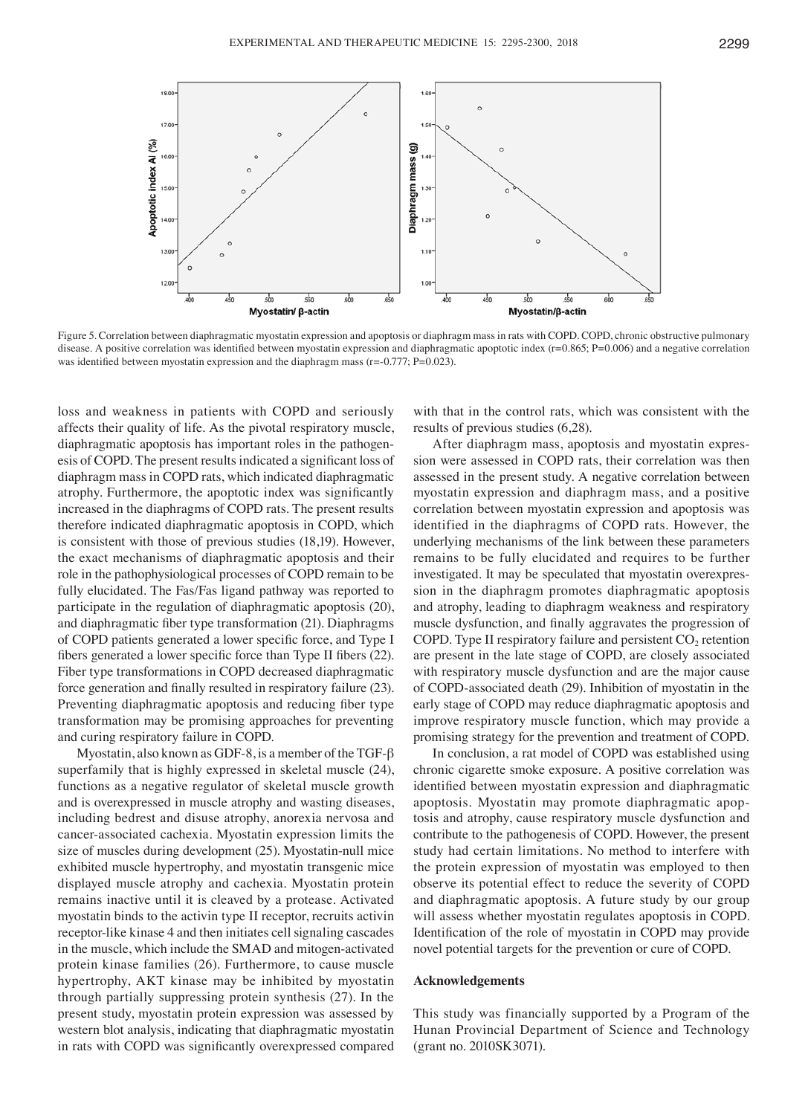

Figure 5. Correlation between diaphragmatic myostatin expression and apoptosis or diaphragm mass in rats with COPD. COPD, chronic obstructive pulmonary disease. A positive correlation was identified between myostatin expression and diaphragmatic apoptotic index (r=0.865; P=0.006) and a negative correlation was identified between myostatin expression and the diaphragm mass  $(r=-0.777; P=0.023)$ .

loss and weakness in patients with COPD and seriously affects their quality of life. As the pivotal respiratory muscle, diaphragmatic apoptosis has important roles in the pathogenesis of COPD. The present results indicated a significant loss of diaphragm mass in COPD rats, which indicated diaphragmatic atrophy. Furthermore, the apoptotic index was significantly increased in the diaphragms of COPD rats. The present results therefore indicated diaphragmatic apoptosis in COPD, which is consistent with those of previous studies (18,19). However, the exact mechanisms of diaphragmatic apoptosis and their role in the pathophysiological processes of COPD remain to be fully elucidated. The Fas/Fas ligand pathway was reported to participate in the regulation of diaphragmatic apoptosis (20), and diaphragmatic fiber type transformation (21). Diaphragms of COPD patients generated a lower specific force, and Type I fibers generated a lower specific force than Type II fibers (22). Fiber type transformations in COPD decreased diaphragmatic force generation and finally resulted in respiratory failure (23). Preventing diaphragmatic apoptosis and reducing fiber type transformation may be promising approaches for preventing and curing respiratory failure in COPD.

Myostatin, also known as GDF-8, is a member of the TGF- $\beta$ superfamily that is highly expressed in skeletal muscle (24), functions as a negative regulator of skeletal muscle growth and is overexpressed in muscle atrophy and wasting diseases, including bedrest and disuse atrophy, anorexia nervosa and cancer‑associated cachexia. Myostatin expression limits the size of muscles during development (25). Myostatin-null mice exhibited muscle hypertrophy, and myostatin transgenic mice displayed muscle atrophy and cachexia. Myostatin protein remains inactive until it is cleaved by a protease. Activated myostatin binds to the activin type II receptor, recruits activin receptor-like kinase 4 and then initiates cell signaling cascades in the muscle, which include the SMAD and mitogen-activated protein kinase families (26). Furthermore, to cause muscle hypertrophy, AKT kinase may be inhibited by myostatin through partially suppressing protein synthesis (27). In the present study, myostatin protein expression was assessed by western blot analysis, indicating that diaphragmatic myostatin in rats with COPD was significantly overexpressed compared

with that in the control rats, which was consistent with the results of previous studies (6,28).

After diaphragm mass, apoptosis and myostatin expression were assessed in COPD rats, their correlation was then assessed in the present study. A negative correlation between myostatin expression and diaphragm mass, and a positive correlation between myostatin expression and apoptosis was identified in the diaphragms of COPD rats. However, the underlying mechanisms of the link between these parameters remains to be fully elucidated and requires to be further investigated. It may be speculated that myostatin overexpression in the diaphragm promotes diaphragmatic apoptosis and atrophy, leading to diaphragm weakness and respiratory muscle dysfunction, and finally aggravates the progression of COPD. Type II respiratory failure and persistent  $CO<sub>2</sub>$  retention are present in the late stage of COPD, are closely associated with respiratory muscle dysfunction and are the major cause of COPD‑associated death (29). Inhibition of myostatin in the early stage of COPD may reduce diaphragmatic apoptosis and improve respiratory muscle function, which may provide a promising strategy for the prevention and treatment of COPD.

In conclusion, a rat model of COPD was established using chronic cigarette smoke exposure. A positive correlation was identified between myostatin expression and diaphragmatic apoptosis. Myostatin may promote diaphragmatic apoptosis and atrophy, cause respiratory muscle dysfunction and contribute to the pathogenesis of COPD. However, the present study had certain limitations. No method to interfere with the protein expression of myostatin was employed to then observe its potential effect to reduce the severity of COPD and diaphragmatic apoptosis. A future study by our group will assess whether myostatin regulates apoptosis in COPD. Identification of the role of myostatin in COPD may provide novel potential targets for the prevention or cure of COPD.

## **Acknowledgements**

This study was financially supported by a Program of the Hunan Provincial Department of Science and Technology (grant no. 2010SK3071).